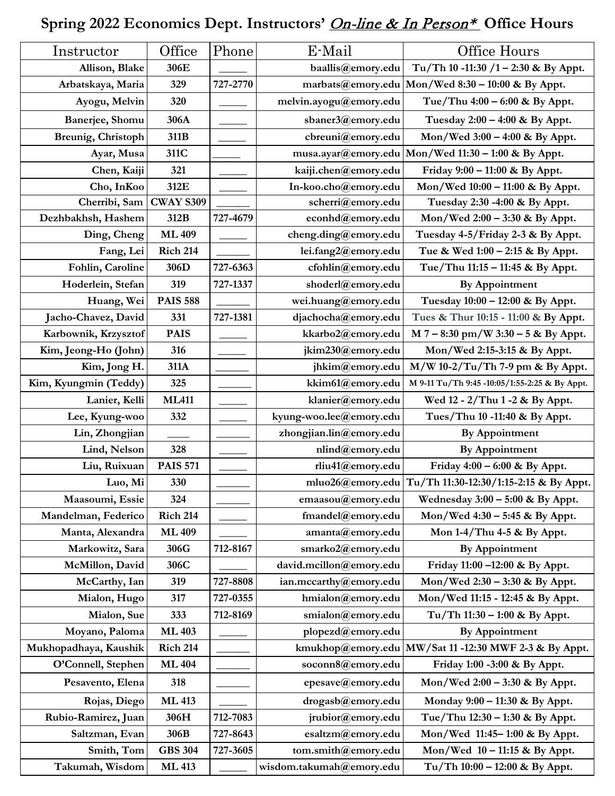## **Spring 2022 Economics Dept. Instructors'** On-line & In Person\* **Office Hours**

| Instructor            | Office           | Phone    | E-Mail                   | Office Hours                                            |
|-----------------------|------------------|----------|--------------------------|---------------------------------------------------------|
| Allison, Blake        | 306E             |          | baallis@emory.edu        | Tu/Th 10 -11:30 /1 - 2:30 & By Appt.                    |
| Arbatskaya, Maria     | 329              | 727-2770 |                          | marbats@emory.edu   Mon/Wed 8:30 - 10:00 & By Appt.     |
| Ayogu, Melvin         | 320              |          | melvin.ayogu@emory.edu   | Tue/Thu $4:00 - 6:00$ & By Appt.                        |
| Banerjee, Shomu       | 306A             |          | sbaner3@emory.edu        | Tuesday $2:00 - 4:00$ & By Appt.                        |
| Breunig, Christoph    | 311B             |          | cbreuni@emory.edu        | Mon/Wed $3:00 - 4:00$ & By Appt.                        |
| Ayar, Musa            | 311C             |          |                          | musa.ayar@emory.edu   Mon/Wed 11:30 - 1:00 & By Appt.   |
| Chen, Kaiji           | 321              |          | kaiji.chen@emory.edu     | Friday $9:00 - 11:00$ & By Appt.                        |
| Cho, InKoo            | 312E             |          | In-koo.cho@emory.edu     | Mon/Wed 10:00 - 11:00 & By Appt.                        |
| Cherribi, Sam         | <b>CWAY S309</b> |          | scherri@emory.edu        | Tuesday 2:30 -4:00 & By Appt.                           |
| Dezhbakhsh, Hashem    | 312B             | 727-4679 | econhd@emory.edu         | Mon/Wed 2:00 - 3:30 & By Appt.                          |
| Ding, Cheng           | <b>ML409</b>     |          | cheng.ding@emory.edu     | Tuesday 4-5/Friday 2-3 & By Appt.                       |
| Fang, Lei             | <b>Rich 214</b>  |          | lei.fang2@emory.edu      | Tue & Wed 1:00 - 2:15 & By Appt.                        |
| Fohlin, Caroline      | 306D             | 727-6363 | cfohlin@emory.edu        | Tue/Thu 11:15 - 11:45 & By Appt.                        |
| Hoderlein, Stefan     | 319              | 727-1337 | shoderl@emory.edu        | <b>By Appointment</b>                                   |
| Huang, Wei            | <b>PAIS 588</b>  |          | wei.huang@emory.edu      | Tuesday 10:00 - 12:00 & By Appt.                        |
| Jacho-Chavez, David   | 331              | 727-1381 | djachocha@emory.edu      | Tues & Thur 10:15 - 11:00 & By Appt.                    |
| Karbownik, Krzysztof  | <b>PAIS</b>      |          | kkarbo2@emory.edu        | $M$ 7 – 8:30 pm/W 3:30 – 5 & By Appt.                   |
| Kim, Jeong-Ho (John)  | 316              |          | jkim230@emory.edu        | Mon/Wed 2:15-3:15 & By Appt.                            |
| Kim, Jong H.          | 311A             |          | jhkim@emory.edu          | M/W 10-2/Tu/Th 7-9 pm & By Appt.                        |
| Kim, Kyungmin (Teddy) | 325              |          | kkim61@emory.edu         | M 9-11 Tu/Th 9:45 -10:05/1:55-2:25 & By Appt.           |
| Lanier, Kelli         | <b>ML411</b>     |          | klanier@emory.edu        | Wed 12 - 2/Thu 1 -2 & By Appt.                          |
| Lee, Kyung-woo        | 332              |          | kyung-woo.lee@emory.edu  | Tues/Thu 10 -11:40 & By Appt.                           |
| Lin, Zhongjian        |                  |          | zhongjian.lin@emory.edu  | <b>By Appointment</b>                                   |
| Lind, Nelson          | 328              |          | nlind@emory.edu          | <b>By Appointment</b>                                   |
| Liu, Ruixuan          | <b>PAIS 571</b>  |          | rliu41@emory.edu         | Friday $4:00 - 6:00$ & By Appt.                         |
| Luo, Mi               | 330              |          |                          | mluo26@emory.edu Tu/Th 11:30-12:30/1:15-2:15 & By Appt. |
| Maasoumi, Essie       | 324              |          | emaasou@emory.edu        | Wednesday $3:00 - 5:00$ & By Appt.                      |
| Mandelman, Federico   | <b>Rich 214</b>  |          | fmandel@emory.edu        | Mon/Wed 4:30 - 5:45 & By Appt.                          |
| Manta, Alexandra      | <b>ML 409</b>    |          | amanta@emory.edu         | Mon $1-4$ /Thu $4-5$ & By Appt.                         |
| Markowitz, Sara       | 306G             | 712-8167 | smarko2@emory.edu        | By Appointment                                          |
| McMillon, David       | 306C             |          | david.mcillon@emory.edu  | Friday 11:00 -12:00 & By Appt.                          |
| McCarthy, Ian         | 319              | 727-8808 | ian.mccarthy@emory.edu   | Mon/Wed 2:30 - 3:30 & By Appt.                          |
| Mialon, Hugo          | 317              | 727-0355 | hmialon@emory.edu        | Mon/Wed 11:15 - 12:45 & By Appt.                        |
| Mialon, Sue           | 333              | 712-8169 | smialon@emory.edu        | Tu/Th $11:30 - 1:00$ & By Appt.                         |
| Moyano, Paloma        | <b>ML 403</b>    |          | plopezd@emory.edu        | <b>By Appointment</b>                                   |
| Mukhopadhaya, Kaushik | <b>Rich 214</b>  |          |                          | kmukhop@emory.edu MW/Sat 11 -12:30 MWF 2-3 & By Appt.   |
| O'Connell, Stephen    | <b>ML 404</b>    |          | soconn8@emory.edu        | Friday 1:00 -3:00 & By Appt.                            |
| Pesavento, Elena      | 318              |          | epesave@emory.edu        | Mon/Wed $2:00 - 3:30$ & By Appt.                        |
| Rojas, Diego          | <b>ML 413</b>    |          | drogasb@emory.edu        | Monday 9:00 – 11:30 & By Appt.                          |
| Rubio-Ramirez, Juan   | 306H             | 712-7083 | jrubior@emory.edu        | Tue/Thu 12:30 - 1:30 & By Appt.                         |
| Saltzman, Evan        | 306B             | 727-8643 | esaltzm@emory.edu        | Mon/Wed 11:45-1:00 & By Appt.                           |
| Smith, Tom            | <b>GBS 304</b>   | 727-3605 | tom.smith@emory.edu      | Mon/Wed $10 - 11:15$ & By Appt.                         |
| Takumah, Wisdom       | <b>ML 413</b>    |          | wisdom.takumah@emory.edu | Tu/Th $10:00 - 12:00$ & By Appt.                        |